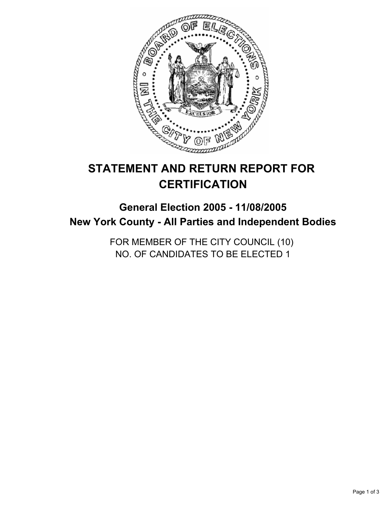

# **STATEMENT AND RETURN REPORT FOR CERTIFICATION**

# **General Election 2005 - 11/08/2005 New York County - All Parties and Independent Bodies**

FOR MEMBER OF THE CITY COUNCIL (10) NO. OF CANDIDATES TO BE ELECTED 1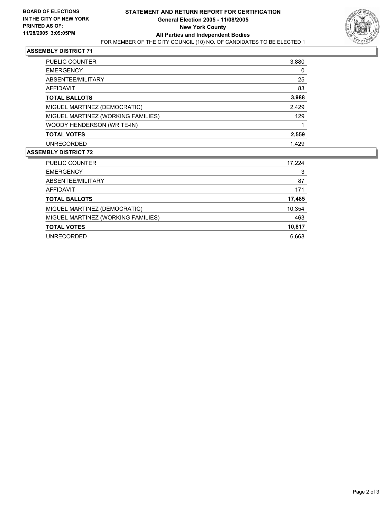

### **ASSEMBLY DISTRICT 71**

| PUBLIC COUNTER                     | 3,880 |
|------------------------------------|-------|
| <b>EMERGENCY</b>                   |       |
| ABSENTEE/MILITARY                  | 25    |
| AFFIDAVIT                          | 83    |
| <b>TOTAL BALLOTS</b>               | 3,988 |
| MIGUEL MARTINEZ (DEMOCRATIC)       | 2,429 |
| MIGUEL MARTINEZ (WORKING FAMILIES) | 129   |
| WOODY HENDERSON (WRITE-IN)         |       |
| <b>TOTAL VOTES</b>                 | 2,559 |
| <b>UNRECORDED</b>                  | 1,429 |

#### **ASSEMBLY DISTRICT 72**

| <b>PUBLIC COUNTER</b>              | 17,224 |
|------------------------------------|--------|
| <b>EMERGENCY</b>                   | 3      |
| ABSENTEE/MILITARY                  | 87     |
| AFFIDAVIT                          | 171    |
| <b>TOTAL BALLOTS</b>               | 17,485 |
| MIGUEL MARTINEZ (DEMOCRATIC)       | 10,354 |
| MIGUEL MARTINEZ (WORKING FAMILIES) | 463    |
| <b>TOTAL VOTES</b>                 | 10,817 |
| UNRECORDED                         | 6.668  |